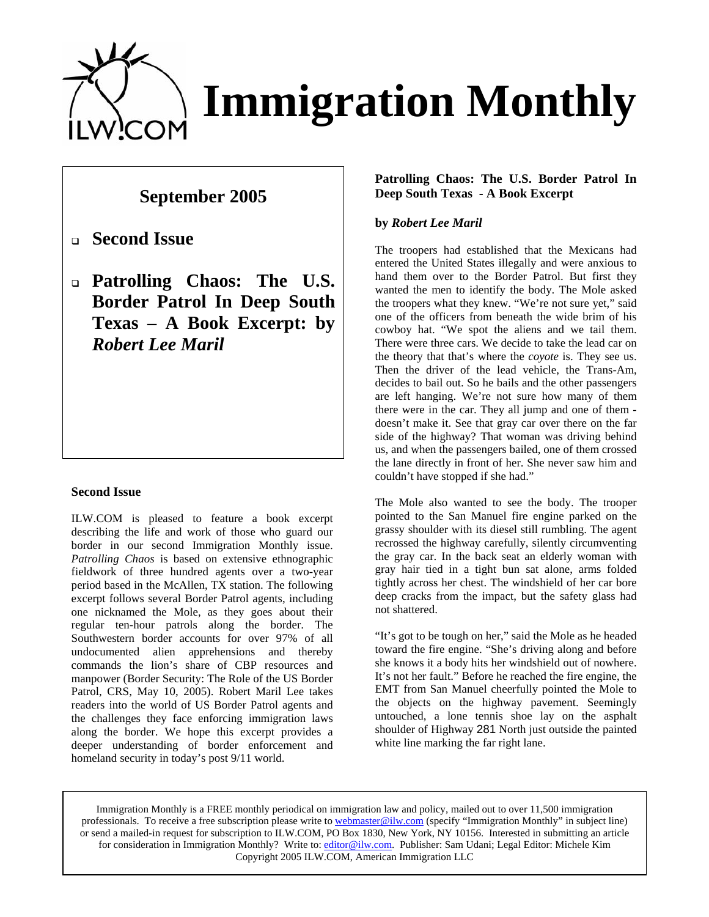

### **September 2005**

- **Second Issue**
- **Patrolling Chaos: The U.S. Border Patrol In Deep South Texas – A Book Excerpt: by** *Robert Lee Maril*

#### **Second Issue**

ILW.COM is pleased to feature a book excerpt describing the life and work of those who guard our border in our second Immigration Monthly issue. *Patrolling Chaos* is based on extensive ethnographic fieldwork of three hundred agents over a two-year period based in the McAllen, TX station. The following excerpt follows several Border Patrol agents, including one nicknamed the Mole, as they goes about their regular ten-hour patrols along the border. The Southwestern border accounts for over 97% of all undocumented alien apprehensions and thereby commands the lion's share of CBP resources and manpower (Border Security: The Role of the US Border Patrol, CRS, May 10, 2005). Robert Maril Lee takes readers into the world of US Border Patrol agents and the challenges they face enforcing immigration laws along the border. We hope this excerpt provides a deeper understanding of border enforcement and homeland security in today's post 9/11 world.

#### **Patrolling Chaos: The U.S. Border Patrol In Deep South Texas - A Book Excerpt**

#### **by** *Robert Lee Maril*

The troopers had established that the Mexicans had entered the United States illegally and were anxious to hand them over to the Border Patrol. But first they wanted the men to identify the body. The Mole asked the troopers what they knew. "We're not sure yet," said one of the officers from beneath the wide brim of his cowboy hat. "We spot the aliens and we tail them. There were three cars. We decide to take the lead car on the theory that that's where the *coyote* is. They see us. Then the driver of the lead vehicle, the Trans-Am, decides to bail out. So he bails and the other passengers are left hanging. We're not sure how many of them there were in the car. They all jump and one of them doesn't make it. See that gray car over there on the far side of the highway? That woman was driving behind us, and when the passengers bailed, one of them crossed the lane directly in front of her. She never saw him and couldn't have stopped if she had."

The Mole also wanted to see the body. The trooper pointed to the San Manuel fire engine parked on the grassy shoulder with its diesel still rumbling. The agent recrossed the highway carefully, silently circumventing the gray car. In the back seat an elderly woman with gray hair tied in a tight bun sat alone, arms folded tightly across her chest. The windshield of her car bore deep cracks from the impact, but the safety glass had not shattered.

"It's got to be tough on her," said the Mole as he headed toward the fire engine. "She's driving along and before she knows it a body hits her windshield out of nowhere. It's not her fault." Before he reached the fire engine, the EMT from San Manuel cheerfully pointed the Mole to the objects on the highway pavement. Seemingly untouched, a lone tennis shoe lay on the asphalt shoulder of Highway 281 North just outside the painted white line marking the far right lane.

Immigration Monthly is a FREE monthly periodical on immigration law and policy, mailed out to over 11,500 immigration professionals. To receive a free subscription please write to [webmaster@ilw.com](mailto:webmaster@ilw.com) (specify "Immigration Monthly" in subject line) or send a mailed-in request for subscription to ILW.COM, PO Box 1830, New York, NY 10156. Interested in submitting an article for consideration in Immigration Monthly? Write to: [editor@ilw.com.](mailto:editor@ilw.com) Publisher: Sam Udani; Legal Editor: Michele Kim Copyright 2005 ILW.COM, American Immigration LLC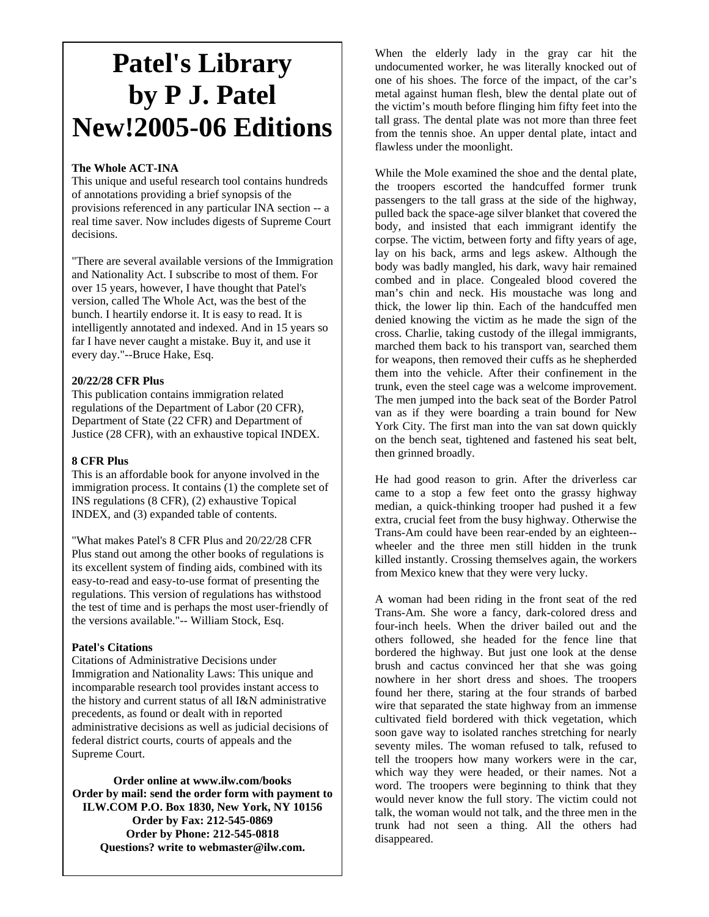# **Patel's Library by P J. Patel New!2005-06 Editions**

#### **The Whole ACT-INA**

This unique and useful research tool contains hundreds of annotations providing a brief synopsis of the provisions referenced in any particular INA section -- a real time saver. Now includes digests of Supreme Court decisions.

"There are several available versions of the Immigration and Nationality Act. I subscribe to most of them. For over 15 years, however, I have thought that Patel's version, called The Whole Act, was the best of the bunch. I heartily endorse it. It is easy to read. It is intelligently annotated and indexed. And in 15 years so far I have never caught a mistake. Buy it, and use it every day."--Bruce Hake, Esq.

#### **20/22/28 CFR Plus**

This publication contains immigration related regulations of the Department of Labor (20 CFR), Department of State (22 CFR) and Department of Justice (28 CFR), with an exhaustive topical INDEX.

#### **8 CFR Plus**

This is an affordable book for anyone involved in the immigration process. It contains (1) the complete set of INS regulations (8 CFR), (2) exhaustive Topical INDEX, and (3) expanded table of contents.

"What makes Patel's 8 CFR Plus and 20/22/28 CFR Plus stand out among the other books of regulations is its excellent system of finding aids, combined with its easy-to-read and easy-to-use format of presenting the regulations. This version of regulations has withstood the test of time and is perhaps the most user-friendly of the versions available."-- William Stock, Esq.

#### **Patel's Citations**

Citations of Administrative Decisions under Immigration and Nationality Laws: This unique and incomparable research tool provides instant access to the history and current status of all I&N administrative precedents, as found or dealt with in reported administrative decisions as well as judicial decisions of federal district courts, courts of appeals and the Supreme Court.

**Order online at www.ilw.com/books Order by mail: send the order form with payment to ILW.COM P.O. Box 1830, New York, NY 10156 Order by Fax: 212-545-0869 Order by Phone: 212-545-0818 Questions? write to webmaster@ilw.com.**

When the elderly lady in the gray car hit the undocumented worker, he was literally knocked out of one of his shoes. The force of the impact, of the car's metal against human flesh, blew the dental plate out of the victim's mouth before flinging him fifty feet into the tall grass. The dental plate was not more than three feet from the tennis shoe. An upper dental plate, intact and flawless under the moonlight.

While the Mole examined the shoe and the dental plate, the troopers escorted the handcuffed former trunk passengers to the tall grass at the side of the highway, pulled back the space-age silver blanket that covered the body, and insisted that each immigrant identify the corpse. The victim, between forty and fifty years of age, lay on his back, arms and legs askew. Although the body was badly mangled, his dark, wavy hair remained combed and in place. Congealed blood covered the man's chin and neck. His moustache was long and thick, the lower lip thin. Each of the handcuffed men denied knowing the victim as he made the sign of the cross. Charlie, taking custody of the illegal immigrants, marched them back to his transport van, searched them for weapons, then removed their cuffs as he shepherded them into the vehicle. After their confinement in the trunk, even the steel cage was a welcome improvement. The men jumped into the back seat of the Border Patrol van as if they were boarding a train bound for New York City. The first man into the van sat down quickly on the bench seat, tightened and fastened his seat belt, then grinned broadly.

He had good reason to grin. After the driverless car came to a stop a few feet onto the grassy highway median, a quick-thinking trooper had pushed it a few extra, crucial feet from the busy highway. Otherwise the Trans-Am could have been rear-ended by an eighteen- wheeler and the three men still hidden in the trunk killed instantly. Crossing themselves again, the workers from Mexico knew that they were very lucky.

A woman had been riding in the front seat of the red Trans-Am. She wore a fancy, dark-colored dress and four-inch heels. When the driver bailed out and the others followed, she headed for the fence line that bordered the highway. But just one look at the dense brush and cactus convinced her that she was going nowhere in her short dress and shoes. The troopers found her there, staring at the four strands of barbed wire that separated the state highway from an immense cultivated field bordered with thick vegetation, which soon gave way to isolated ranches stretching for nearly seventy miles. The woman refused to talk, refused to tell the troopers how many workers were in the car, which way they were headed, or their names. Not a word. The troopers were beginning to think that they would never know the full story. The victim could not talk, the woman would not talk, and the three men in the trunk had not seen a thing. All the others had disappeared.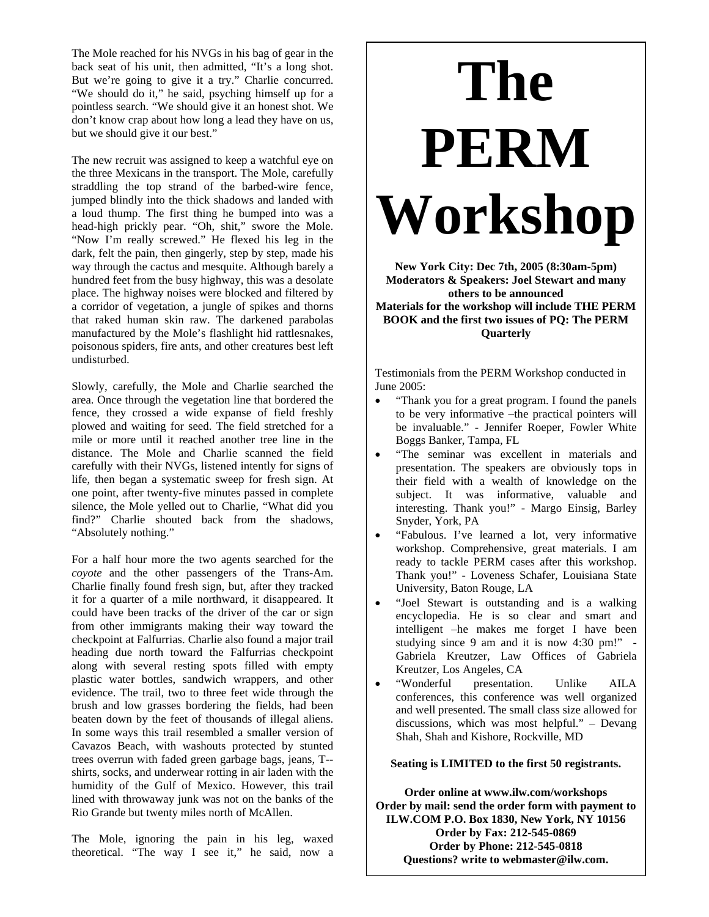The Mole reached for his NVGs in his bag of gear in the back seat of his unit, then admitted, "It's a long shot. But we're going to give it a try." Charlie concurred. "We should do it," he said, psyching himself up for a pointless search. "We should give it an honest shot. We don't know crap about how long a lead they have on us, but we should give it our best."

The new recruit was assigned to keep a watchful eye on the three Mexicans in the transport. The Mole, carefully straddling the top strand of the barbed-wire fence, jumped blindly into the thick shadows and landed with a loud thump. The first thing he bumped into was a head-high prickly pear. "Oh, shit," swore the Mole. "Now I'm really screwed." He flexed his leg in the dark, felt the pain, then gingerly, step by step, made his way through the cactus and mesquite. Although barely a hundred feet from the busy highway, this was a desolate place. The highway noises were blocked and filtered by a corridor of vegetation, a jungle of spikes and thorns that raked human skin raw. The darkened parabolas manufactured by the Mole's flashlight hid rattlesnakes, poisonous spiders, fire ants, and other creatures best left undisturbed.

Slowly, carefully, the Mole and Charlie searched the area. Once through the vegetation line that bordered the fence, they crossed a wide expanse of field freshly plowed and waiting for seed. The field stretched for a mile or more until it reached another tree line in the distance. The Mole and Charlie scanned the field carefully with their NVGs, listened intently for signs of life, then began a systematic sweep for fresh sign. At one point, after twenty-five minutes passed in complete silence, the Mole yelled out to Charlie, "What did you find?" Charlie shouted back from the shadows, "Absolutely nothing."

For a half hour more the two agents searched for the *coyote* and the other passengers of the Trans-Am. Charlie finally found fresh sign, but, after they tracked it for a quarter of a mile northward, it disappeared. It could have been tracks of the driver of the car or sign from other immigrants making their way toward the checkpoint at Falfurrias. Charlie also found a major trail heading due north toward the Falfurrias checkpoint along with several resting spots filled with empty plastic water bottles, sandwich wrappers, and other evidence. The trail, two to three feet wide through the brush and low grasses bordering the fields, had been beaten down by the feet of thousands of illegal aliens. In some ways this trail resembled a smaller version of Cavazos Beach, with washouts protected by stunted trees overrun with faded green garbage bags, jeans, T- shirts, socks, and underwear rotting in air laden with the humidity of the Gulf of Mexico. However, this trail lined with throwaway junk was not on the banks of the Rio Grande but twenty miles north of McAllen.

The Mole, ignoring the pain in his leg, waxed theoretical. "The way I see it," he said, now a

# **The PERM Workshop**

**New York City: Dec 7th, 2005 (8:30am-5pm) Moderators & Speakers: Joel Stewart and many others to be announced Materials for the workshop will include THE PERM BOOK and the first two issues of PQ: The PERM Quarterly** 

Testimonials from the PERM Workshop conducted in June 2005:

- "Thank you for a great program. I found the panels to be very informative –the practical pointers will be invaluable." - Jennifer Roeper, Fowler White Boggs Banker, Tampa, FL
- "The seminar was excellent in materials and presentation. The speakers are obviously tops in their field with a wealth of knowledge on the subject. It was informative, valuable and interesting. Thank you!" - Margo Einsig, Barley Snyder, York, PA
- "Fabulous. I've learned a lot, very informative workshop. Comprehensive, great materials. I am ready to tackle PERM cases after this workshop. Thank you!" - Loveness Schafer, Louisiana State University, Baton Rouge, LA
- "Joel Stewart is outstanding and is a walking encyclopedia. He is so clear and smart and intelligent –he makes me forget I have been studying since 9 am and it is now 4:30 pm!" - Gabriela Kreutzer, Law Offices of Gabriela Kreutzer, Los Angeles, CA
- "Wonderful presentation. Unlike AILA conferences, this conference was well organized and well presented. The small class size allowed for discussions, which was most helpful." – Devang Shah, Shah and Kishore, Rockville, MD

#### **Seating is LIMITED to the first 50 registrants.**

**Order online at www.ilw.com/workshops Order by mail: send the order form with payment to ILW.COM P.O. Box 1830, New York, NY 10156 Order by Fax: 212-545-0869 Order by Phone: 212-545-0818 Questions? write to webmaster@ilw.com.**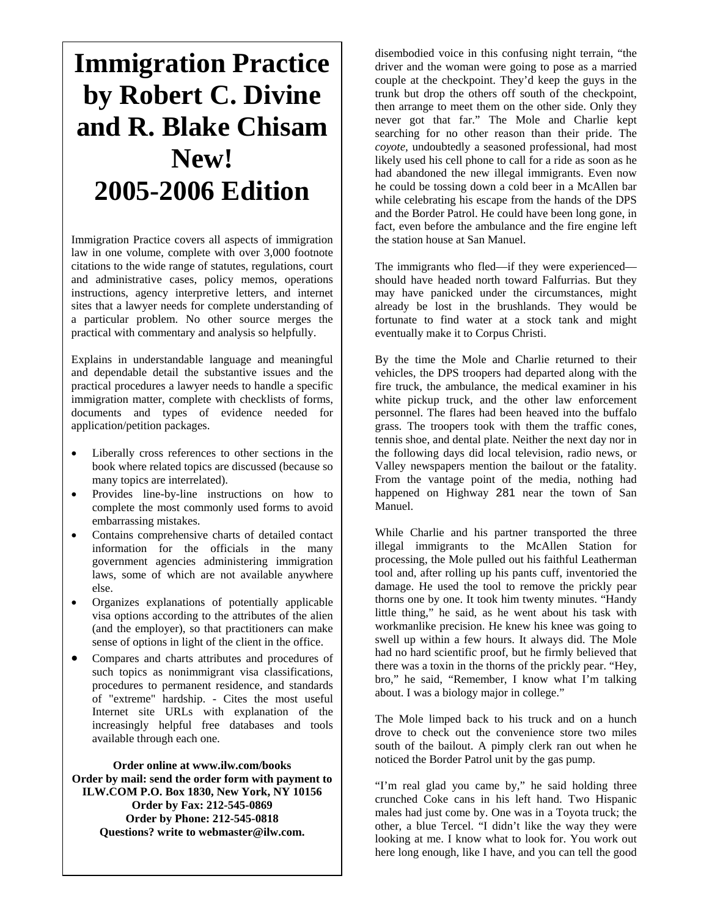# **Immigration Practice by Robert C. Divine and R. Blake Chisam New! 2005-2006 Edition**

Immigration Practice covers all aspects of immigration law in one volume, complete with over 3,000 footnote citations to the wide range of statutes, regulations, court and administrative cases, policy memos, operations instructions, agency interpretive letters, and internet sites that a lawyer needs for complete understanding of a particular problem. No other source merges the practical with commentary and analysis so helpfully.

Explains in understandable language and meaningful and dependable detail the substantive issues and the practical procedures a lawyer needs to handle a specific immigration matter, complete with checklists of forms, documents and types of evidence needed for application/petition packages.

- Liberally cross references to other sections in the book where related topics are discussed (because so many topics are interrelated).
- Provides line-by-line instructions on how to complete the most commonly used forms to avoid embarrassing mistakes.
- Contains comprehensive charts of detailed contact information for the officials in the many government agencies administering immigration laws, some of which are not available anywhere else.
- Organizes explanations of potentially applicable visa options according to the attributes of the alien (and the employer), so that practitioners can make sense of options in light of the client in the office.
- Compares and charts attributes and procedures of such topics as nonimmigrant visa classifications, procedures to permanent residence, and standards of "extreme" hardship. - Cites the most useful Internet site URLs with explanation of the increasingly helpful free databases and tools available through each one.

**Order online at www.ilw.com/books Order by mail: send the order form with payment to ILW.COM P.O. Box 1830, New York, NY 10156 Order by Fax: 212-545-0869 Order by Phone: 212-545-0818 Questions? write to webmaster@ilw.com.** 

disembodied voice in this confusing night terrain, "the driver and the woman were going to pose as a married couple at the checkpoint. They'd keep the guys in the trunk but drop the others off south of the checkpoint, then arrange to meet them on the other side. Only they never got that far." The Mole and Charlie kept searching for no other reason than their pride. The *coyote,* undoubtedly a seasoned professional, had most likely used his cell phone to call for a ride as soon as he had abandoned the new illegal immigrants. Even now he could be tossing down a cold beer in a McAllen bar while celebrating his escape from the hands of the DPS and the Border Patrol. He could have been long gone, in fact, even before the ambulance and the fire engine left the station house at San Manuel.

The immigrants who fled—if they were experienced should have headed north toward Falfurrias. But they may have panicked under the circumstances, might already be lost in the brushlands. They would be fortunate to find water at a stock tank and might eventually make it to Corpus Christi.

By the time the Mole and Charlie returned to their vehicles, the DPS troopers had departed along with the fire truck, the ambulance, the medical examiner in his white pickup truck, and the other law enforcement personnel. The flares had been heaved into the buffalo grass. The troopers took with them the traffic cones, tennis shoe, and dental plate. Neither the next day nor in the following days did local television, radio news, or Valley newspapers mention the bailout or the fatality. From the vantage point of the media, nothing had happened on Highway 281 near the town of San Manuel.

While Charlie and his partner transported the three illegal immigrants to the McAllen Station for processing, the Mole pulled out his faithful Leatherman tool and, after rolling up his pants cuff, inventoried the damage. He used the tool to remove the prickly pear thorns one by one. It took him twenty minutes. "Handy little thing," he said, as he went about his task with workmanlike precision. He knew his knee was going to swell up within a few hours. It always did. The Mole had no hard scientific proof, but he firmly believed that there was a toxin in the thorns of the prickly pear. "Hey, bro," he said, "Remember, I know what I'm talking about. I was a biology major in college."

The Mole limped back to his truck and on a hunch drove to check out the convenience store two miles south of the bailout. A pimply clerk ran out when he noticed the Border Patrol unit by the gas pump.

"I'm real glad you came by," he said holding three crunched Coke cans in his left hand. Two Hispanic males had just come by. One was in a Toyota truck; the other, a blue Tercel. "I didn't like the way they were looking at me. I know what to look for. You work out here long enough, like I have, and you can tell the good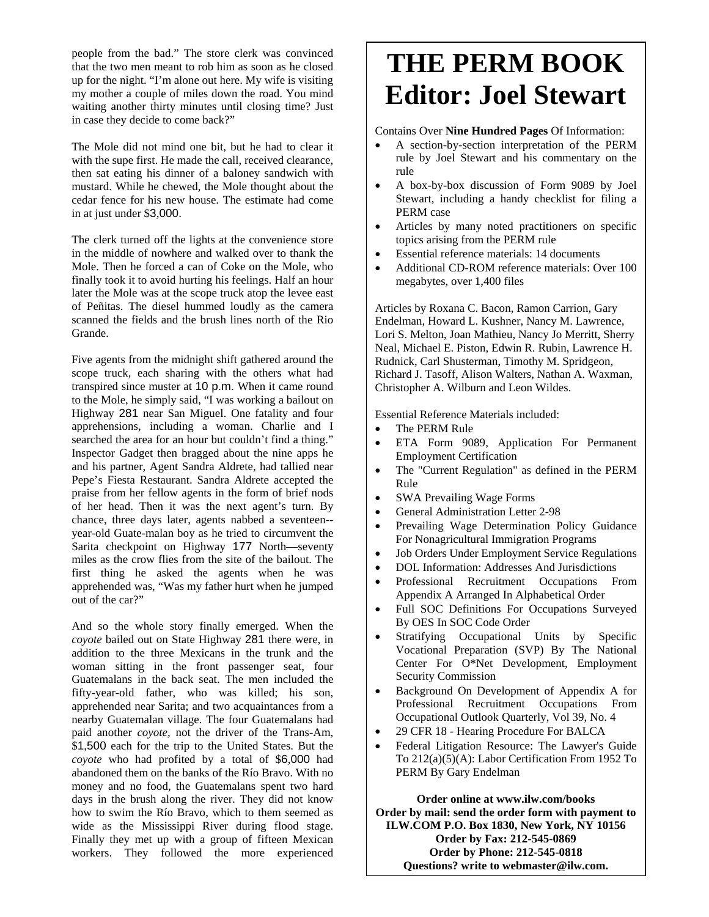people from the bad." The store clerk was convinced that the two men meant to rob him as soon as he closed up for the night. "I'm alone out here. My wife is visiting my mother a couple of miles down the road. You mind waiting another thirty minutes until closing time? Just in case they decide to come back?"

The Mole did not mind one bit, but he had to clear it with the supe first. He made the call, received clearance, then sat eating his dinner of a baloney sandwich with mustard. While he chewed, the Mole thought about the cedar fence for his new house. The estimate had come in at just under \$3,000.

The clerk turned off the lights at the convenience store in the middle of nowhere and walked over to thank the Mole. Then he forced a can of Coke on the Mole, who finally took it to avoid hurting his feelings. Half an hour later the Mole was at the scope truck atop the levee east of Peñitas. The diesel hummed loudly as the camera scanned the fields and the brush lines north of the Rio Grande.

Five agents from the midnight shift gathered around the scope truck, each sharing with the others what had transpired since muster at 10 p.m. When it came round to the Mole, he simply said, "I was working a bailout on Highway 281 near San Miguel. One fatality and four apprehensions, including a woman. Charlie and I searched the area for an hour but couldn't find a thing." Inspector Gadget then bragged about the nine apps he and his partner, Agent Sandra Aldrete, had tallied near Pepe's Fiesta Restaurant. Sandra Aldrete accepted the praise from her fellow agents in the form of brief nods of her head. Then it was the next agent's turn. By chance, three days later, agents nabbed a seventeen- year-old Guate-malan boy as he tried to circumvent the Sarita checkpoint on Highway 177 North—seventy miles as the crow flies from the site of the bailout. The first thing he asked the agents when he was apprehended was, "Was my father hurt when he jumped out of the car?"

And so the whole story finally emerged. When the *coyote* bailed out on State Highway 281 there were, in addition to the three Mexicans in the trunk and the woman sitting in the front passenger seat, four Guatemalans in the back seat. The men included the fifty-year-old father, who was killed; his son, apprehended near Sarita; and two acquaintances from a nearby Guatemalan village. The four Guatemalans had paid another *coyote,* not the driver of the Trans-Am, \$1,500 each for the trip to the United States. But the *coyote* who had profited by a total of \$6,000 had abandoned them on the banks of the Río Bravo. With no money and no food, the Guatemalans spent two hard days in the brush along the river. They did not know how to swim the Río Bravo, which to them seemed as wide as the Mississippi River during flood stage. Finally they met up with a group of fifteen Mexican workers. They followed the more experienced

## **THE PERM BOOK Editor: Joel Stewart**

#### Contains Over **Nine Hundred Pages** Of Information:

- A section-by-section interpretation of the PERM rule by Joel Stewart and his commentary on the rule
- A box-by-box discussion of Form 9089 by Joel Stewart, including a handy checklist for filing a PERM case
- Articles by many noted practitioners on specific topics arising from the PERM rule
- Essential reference materials: 14 documents
- Additional CD-ROM reference materials: Over 100 megabytes, over 1,400 files

Articles by Roxana C. Bacon, Ramon Carrion, Gary Endelman, Howard L. Kushner, Nancy M. Lawrence, Lori S. Melton, Joan Mathieu, Nancy Jo Merritt, Sherry Neal, Michael E. Piston, Edwin R. Rubin, Lawrence H. Rudnick, Carl Shusterman, Timothy M. Spridgeon, Richard J. Tasoff, Alison Walters, Nathan A. Waxman, Christopher A. Wilburn and Leon Wildes.

Essential Reference Materials included:

- The PERM Rule
- ETA Form 9089, Application For Permanent Employment Certification
- The "Current Regulation" as defined in the PERM Rule
- SWA Prevailing Wage Forms
- General Administration Letter 2-98
- Prevailing Wage Determination Policy Guidance For Nonagricultural Immigration Programs
- Job Orders Under Employment Service Regulations
- DOL Information: Addresses And Jurisdictions
- Professional Recruitment Occupations From Appendix A Arranged In Alphabetical Order
- Full SOC Definitions For Occupations Surveyed By OES In SOC Code Order
- Stratifying Occupational Units by Specific Vocational Preparation (SVP) By The National Center For O\*Net Development, Employment Security Commission
- Background On Development of Appendix A for Professional Recruitment Occupations From Occupational Outlook Quarterly, Vol 39, No. 4
- 29 CFR 18 Hearing Procedure For BALCA
- Federal Litigation Resource: The Lawyer's Guide To 212(a)(5)(A): Labor Certification From 1952 To PERM By Gary Endelman

**Order online at www.ilw.com/books Order by mail: send the order form with payment to ILW.COM P.O. Box 1830, New York, NY 10156 Order by Fax: 212-545-0869 Order by Phone: 212-545-0818 Questions? write to webmaster@ilw.com.**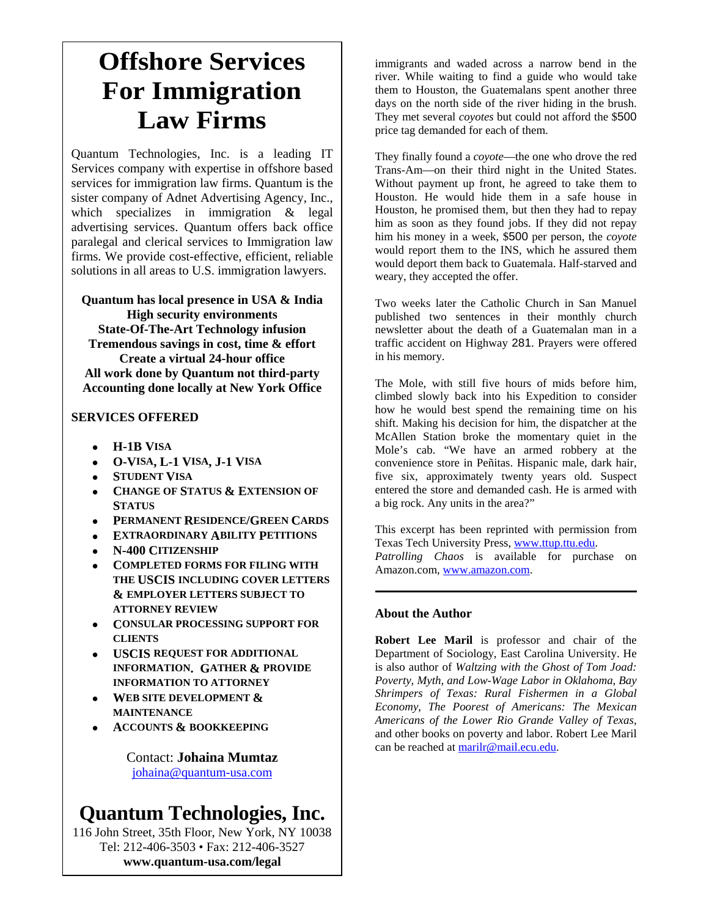## **Offshore Services For Immigration Law Firms**

Quantum Technologies, Inc. is a leading IT Services company with expertise in offshore based services for immigration law firms. Quantum is the sister company of Adnet Advertising Agency, Inc., which specializes in immigration & legal advertising services. Quantum offers back office paralegal and clerical services to Immigration law firms. We provide cost-effective, efficient, reliable solutions in all areas to U.S. immigration lawyers.

**Quantum has local presence in USA & India High security environments State-Of-The-Art Technology infusion Tremendous savings in cost, time & effort Create a virtual 24-hour office All work done by Quantum not third-party Accounting done locally at New York Office** 

#### **SERVICES OFFERED**

- **H-1B VISA**
- **O-VISA, L-1 VISA, J-1 VISA**
- **STUDENT VISA**
- **CHANGE OF STATUS & EXTENSION OF STATUS**
- **PERMANENT RESIDENCE/GREEN CARDS**
- **EXTRAORDINARY ABILITY PETITIONS**
- **N-400 CITIZENSHIP**
- **COMPLETED FORMS FOR FILING WITH THE USCIS INCLUDING COVER LETTERS & EMPLOYER LETTERS SUBJECT TO ATTORNEY REVIEW**
- **CONSULAR PROCESSING SUPPORT FOR CLIENTS**
- **USCIS REQUEST FOR ADDITIONAL INFORMATION. GATHER & PROVIDE INFORMATION TO ATTORNEY**
- **WEB SITE DEVELOPMENT & MAINTENANCE**
- **ACCOUNTS & BOOKKEEPING**

Contact: **Johaina Mumtaz** [johaina@quantum-usa.com](mailto:johaina@quantum-usa.com)

## **Quantum Technologies, Inc.**

116 John Street, 35th Floor, New York, NY 10038 Tel: 212-406-3503 • Fax: 212-406-3527 **www.quantum-usa.com/legal**

immigrants and waded across a narrow bend in the river. While waiting to find a guide who would take them to Houston, the Guatemalans spent another three days on the north side of the river hiding in the brush. They met several *coyotes* but could not afford the \$500 price tag demanded for each of them.

They finally found a *coyote*—the one who drove the red Trans-Am—on their third night in the United States. Without payment up front, he agreed to take them to Houston. He would hide them in a safe house in Houston, he promised them, but then they had to repay him as soon as they found jobs. If they did not repay him his money in a week, \$500 per person, the *coyote* would report them to the INS, which he assured them would deport them back to Guatemala. Half-starved and weary, they accepted the offer.

Two weeks later the Catholic Church in San Manuel published two sentences in their monthly church newsletter about the death of a Guatemalan man in a traffic accident on Highway 281. Prayers were offered in his memory.

The Mole, with still five hours of mids before him, climbed slowly back into his Expedition to consider how he would best spend the remaining time on his shift. Making his decision for him, the dispatcher at the McAllen Station broke the momentary quiet in the Mole's cab. "We have an armed robbery at the convenience store in Peñitas. Hispanic male, dark hair, five six, approximately twenty years old. Suspect entered the store and demanded cash. He is armed with a big rock. Any units in the area?"

This excerpt has been reprinted with permission from Texas Tech University Press, [www.ttup.ttu.edu](http://www.ttup.ttu.edu/).

*Patrolling Chaos* is available for purchase on Amazon.com, [www.amazon.com.](http://www.amazon.com/)

#### **About the Author**

**Robert Lee Maril** is professor and chair of the Department of Sociology, East Carolina University. He is also author of *Waltzing with the Ghost of Tom Joad: Poverty, Myth, and Low-Wage Labor in Oklahoma*, *Bay Shrimpers of Texas: Rural Fishermen in a Global Economy*, *The Poorest of Americans: The Mexican Americans of the Lower Rio Grande Valley of Texas*, and other books on poverty and labor. Robert Lee Maril can be reached at [marilr@mail.ecu.edu.](mailto:marilr@mail.ecu.edu)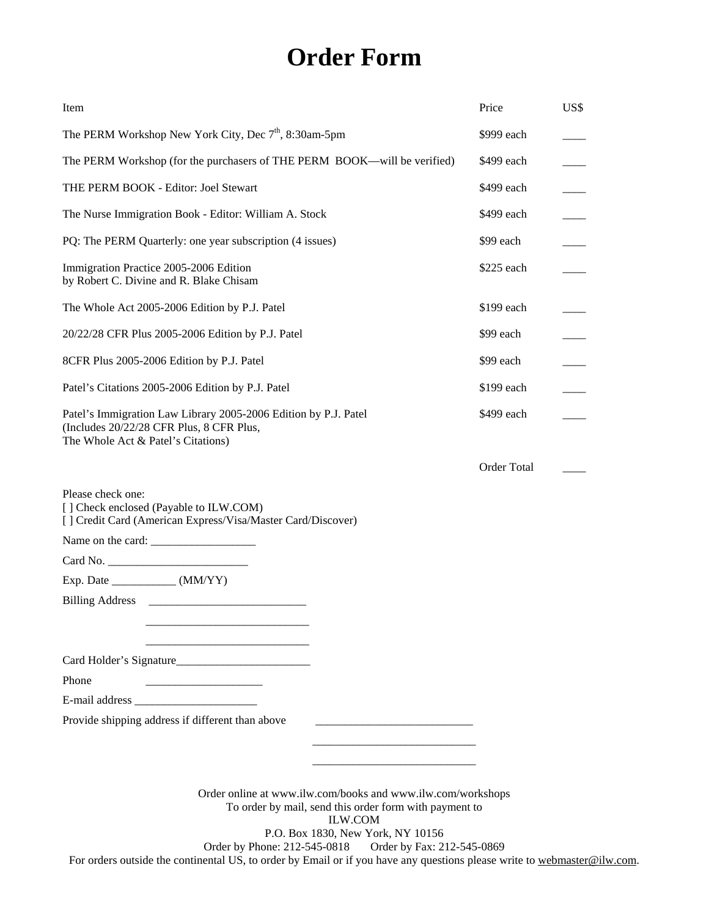## **Order Form**

| Item                                                                                                                                                                                                                                                                                                                                                         | Price       | US\$          |
|--------------------------------------------------------------------------------------------------------------------------------------------------------------------------------------------------------------------------------------------------------------------------------------------------------------------------------------------------------------|-------------|---------------|
| The PERM Workshop New York City, Dec $7th$ , 8:30am-5pm                                                                                                                                                                                                                                                                                                      | \$999 each  |               |
| The PERM Workshop (for the purchasers of THE PERM BOOK—will be verified)                                                                                                                                                                                                                                                                                     | \$499 each  |               |
| THE PERM BOOK - Editor: Joel Stewart                                                                                                                                                                                                                                                                                                                         | \$499 each  | $\frac{1}{1}$ |
| The Nurse Immigration Book - Editor: William A. Stock                                                                                                                                                                                                                                                                                                        | \$499 each  |               |
| PQ: The PERM Quarterly: one year subscription (4 issues)                                                                                                                                                                                                                                                                                                     | \$99 each   |               |
| Immigration Practice 2005-2006 Edition<br>by Robert C. Divine and R. Blake Chisam                                                                                                                                                                                                                                                                            | \$225 each  |               |
| The Whole Act 2005-2006 Edition by P.J. Patel                                                                                                                                                                                                                                                                                                                | \$199 each  |               |
| 20/22/28 CFR Plus 2005-2006 Edition by P.J. Patel                                                                                                                                                                                                                                                                                                            | \$99 each   |               |
| 8CFR Plus 2005-2006 Edition by P.J. Patel                                                                                                                                                                                                                                                                                                                    | \$99 each   |               |
| Patel's Citations 2005-2006 Edition by P.J. Patel                                                                                                                                                                                                                                                                                                            | \$199 each  |               |
| Patel's Immigration Law Library 2005-2006 Edition by P.J. Patel<br>(Includes 20/22/28 CFR Plus, 8 CFR Plus,<br>The Whole Act & Patel's Citations)                                                                                                                                                                                                            | \$499 each  |               |
| Please check one:<br>[] Check enclosed (Payable to ILW.COM)<br>[] Credit Card (American Express/Visa/Master Card/Discover)<br>Name on the card:                                                                                                                                                                                                              | Order Total |               |
|                                                                                                                                                                                                                                                                                                                                                              |             |               |
| Exp. Date _______________ (MM/YY)                                                                                                                                                                                                                                                                                                                            |             |               |
| Phone                                                                                                                                                                                                                                                                                                                                                        |             |               |
| Provide shipping address if different than above                                                                                                                                                                                                                                                                                                             |             |               |
| Order online at www.ilw.com/books and www.ilw.com/workshops<br>To order by mail, send this order form with payment to<br>ILW.COM<br>P.O. Box 1830, New York, NY 10156<br>Order by Phone: 212-545-0818 Order by Fax: 212-545-0869<br>For orders outside the continental US, to order by Email or if you have any questions please write to webmaster@ilw.com. |             |               |